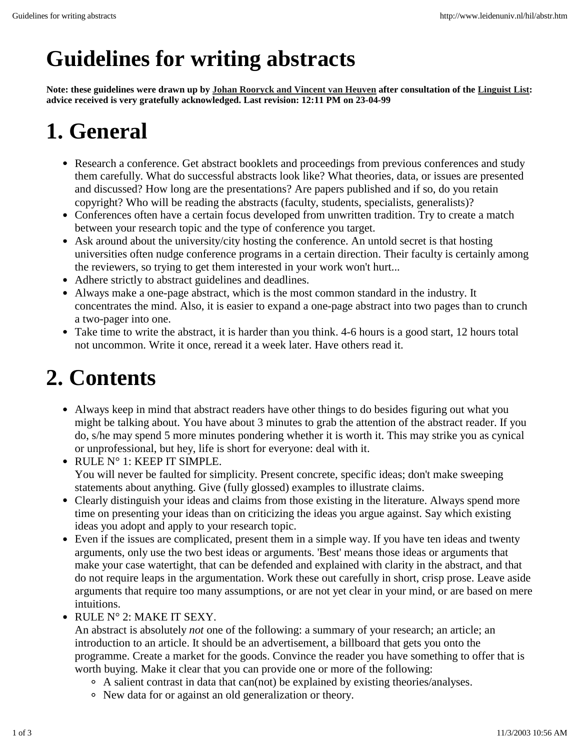#### **Guidelines for writing abstracts**

**Note: these guidelines were drawn up by Johan Rooryck and Vincent van Heuven after consultation of the Linguist List: advice received is very gratefully acknowledged. Last revision: 12:11 PM on 23-04-99**

### **1. General**

- Research a conference. Get abstract booklets and proceedings from previous conferences and study them carefully. What do successful abstracts look like? What theories, data, or issues are presented and discussed? How long are the presentations? Are papers published and if so, do you retain copyright? Who will be reading the abstracts (faculty, students, specialists, generalists)?
- Conferences often have a certain focus developed from unwritten tradition. Try to create a match between your research topic and the type of conference you target.
- Ask around about the university/city hosting the conference. An untold secret is that hosting universities often nudge conference programs in a certain direction. Their faculty is certainly among the reviewers, so trying to get them interested in your work won't hurt...
- Adhere strictly to abstract guidelines and deadlines.
- Always make a one-page abstract, which is the most common standard in the industry. It concentrates the mind. Also, it is easier to expand a one-page abstract into two pages than to crunch a two-pager into one.
- Take time to write the abstract, it is harder than you think. 4-6 hours is a good start, 12 hours total not uncommon. Write it once, reread it a week later. Have others read it.

### **2. Contents**

- Always keep in mind that abstract readers have other things to do besides figuring out what you might be talking about. You have about 3 minutes to grab the attention of the abstract reader. If you do, s/he may spend 5 more minutes pondering whether it is worth it. This may strike you as cynical or unprofessional, but hey, life is short for everyone: deal with it.
- RULE N° 1: KEEP IT SIMPLE. You will never be faulted for simplicity. Present concrete, specific ideas; don't make sweeping statements about anything. Give (fully glossed) examples to illustrate claims.
- Clearly distinguish your ideas and claims from those existing in the literature. Always spend more time on presenting your ideas than on criticizing the ideas you argue against. Say which existing ideas you adopt and apply to your research topic.
- Even if the issues are complicated, present them in a simple way. If you have ten ideas and twenty arguments, only use the two best ideas or arguments. 'Best' means those ideas or arguments that make your case watertight, that can be defended and explained with clarity in the abstract, and that do not require leaps in the argumentation. Work these out carefully in short, crisp prose. Leave aside arguments that require too many assumptions, or are not yet clear in your mind, or are based on mere intuitions.
- RULE N° 2: MAKE IT SEXY.

An abstract is absolutely *not* one of the following: a summary of your research; an article; an introduction to an article. It should be an advertisement, a billboard that gets you onto the programme. Create a market for the goods. Convince the reader you have something to offer that is worth buying. Make it clear that you can provide one or more of the following:

- A salient contrast in data that can(not) be explained by existing theories/analyses.
- New data for or against an old generalization or theory.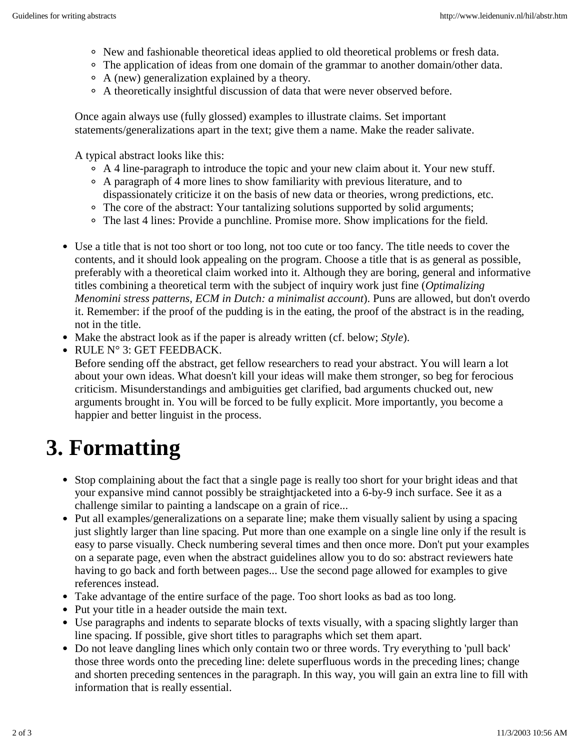- New and fashionable theoretical ideas applied to old theoretical problems or fresh data.
- The application of ideas from one domain of the grammar to another domain/other data.
- A (new) generalization explained by a theory.
- A theoretically insightful discussion of data that were never observed before.

Once again always use (fully glossed) examples to illustrate claims. Set important statements/generalizations apart in the text; give them a name. Make the reader salivate.

A typical abstract looks like this:

- $\circ$  A 4 line-paragraph to introduce the topic and your new claim about it. Your new stuff.
- A paragraph of 4 more lines to show familiarity with previous literature, and to dispassionately criticize it on the basis of new data or theories, wrong predictions, etc.
- The core of the abstract: Your tantalizing solutions supported by solid arguments;
- The last 4 lines: Provide a punchline. Promise more. Show implications for the field.
- Use a title that is not too short or too long, not too cute or too fancy. The title needs to cover the contents, and it should look appealing on the program. Choose a title that is as general as possible, preferably with a theoretical claim worked into it. Although they are boring, general and informative titles combining a theoretical term with the subject of inquiry work just fine (*Optimalizing Menomini stress patterns, ECM in Dutch: a minimalist account*). Puns are allowed, but don't overdo it. Remember: if the proof of the pudding is in the eating, the proof of the abstract is in the reading, not in the title.
- Make the abstract look as if the paper is already written (cf. below; *Style*).

• RULE N° 3: GET FEEDBACK.

Before sending off the abstract, get fellow researchers to read your abstract. You will learn a lot about your own ideas. What doesn't kill your ideas will make them stronger, so beg for ferocious criticism. Misunderstandings and ambiguities get clarified, bad arguments chucked out, new arguments brought in. You will be forced to be fully explicit. More importantly, you become a happier and better linguist in the process.

## **3. Formatting**

- Stop complaining about the fact that a single page is really too short for your bright ideas and that your expansive mind cannot possibly be straightjacketed into a 6-by-9 inch surface. See it as a challenge similar to painting a landscape on a grain of rice...
- Put all examples/generalizations on a separate line; make them visually salient by using a spacing just slightly larger than line spacing. Put more than one example on a single line only if the result is easy to parse visually. Check numbering several times and then once more. Don't put your examples on a separate page, even when the abstract guidelines allow you to do so: abstract reviewers hate having to go back and forth between pages... Use the second page allowed for examples to give references instead.
- Take advantage of the entire surface of the page. Too short looks as bad as too long.
- Put your title in a header outside the main text.
- Use paragraphs and indents to separate blocks of texts visually, with a spacing slightly larger than line spacing. If possible, give short titles to paragraphs which set them apart.
- Do not leave dangling lines which only contain two or three words. Try everything to 'pull back' those three words onto the preceding line: delete superfluous words in the preceding lines; change and shorten preceding sentences in the paragraph. In this way, you will gain an extra line to fill with information that is really essential.